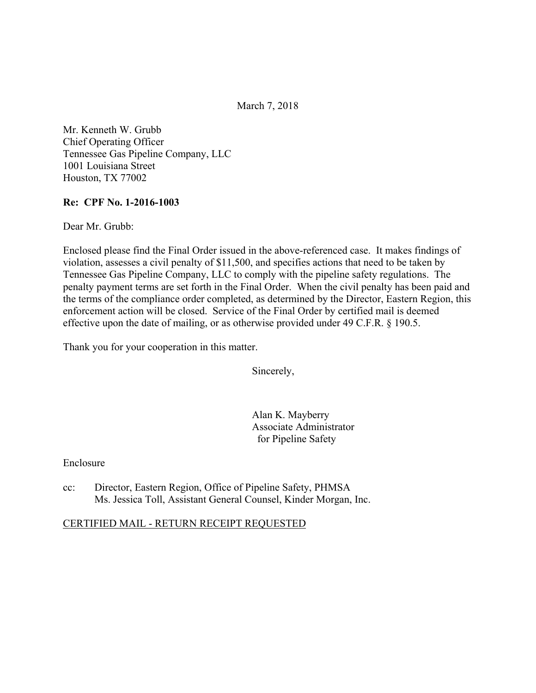March 7, 2018

Mr. Kenneth W. Grubb Chief Operating Officer Tennessee Gas Pipeline Company, LLC 1001 Louisiana Street Houston, TX 77002

### **Re: CPF No. 1-2016-1003**

Dear Mr. Grubb:

Enclosed please find the Final Order issued in the above-referenced case. It makes findings of violation, assesses a civil penalty of \$11,500, and specifies actions that need to be taken by Tennessee Gas Pipeline Company, LLC to comply with the pipeline safety regulations. The penalty payment terms are set forth in the Final Order. When the civil penalty has been paid and the terms of the compliance order completed, as determined by the Director, Eastern Region, this enforcement action will be closed. Service of the Final Order by certified mail is deemed effective upon the date of mailing, or as otherwise provided under 49 C.F.R. § 190.5.

Thank you for your cooperation in this matter.

Sincerely,

Alan K. Mayberry Associate Administrator for Pipeline Safety

### Enclosure

cc: Director, Eastern Region, Office of Pipeline Safety, PHMSA Ms. Jessica Toll, Assistant General Counsel, Kinder Morgan, Inc.

#### CERTIFIED MAIL - RETURN RECEIPT REQUESTED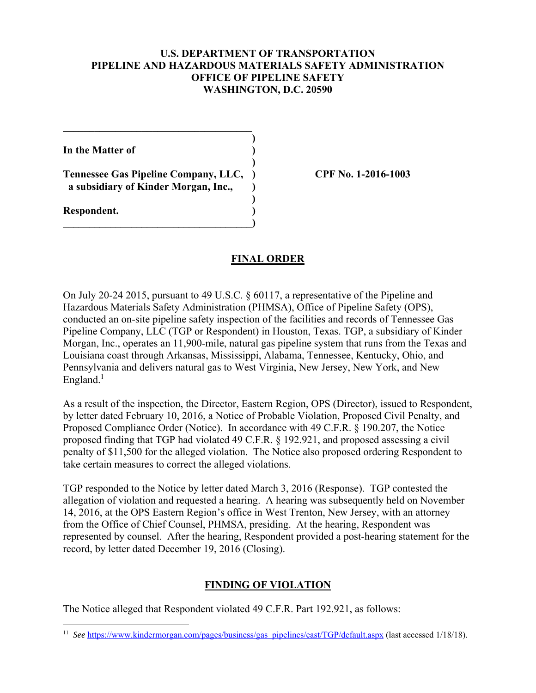### **U.S. DEPARTMENT OF TRANSPORTATION PIPELINE AND HAZARDOUS MATERIALS SAFETY ADMINISTRATION OFFICE OF PIPELINE SAFETY WASHINGTON, D.C. 20590**

**)**

 **)**

**)**

**In the Matter of )**

**Tennessee Gas Pipeline Company, LLC, ) CPF No. 1-2016-1003 a subsidiary of Kinder Morgan, Inc., )** 

**\_\_\_\_\_\_\_\_\_\_\_\_\_\_\_\_\_\_\_\_\_\_\_\_\_\_\_\_\_\_\_\_\_\_\_\_)** 

 $\mathcal{L}=\{1,2,3,4,5\}$ 

**Respondent. )** 

 $\overline{a}$ 

## **FINAL ORDER**

On July 20-24 2015, pursuant to 49 U.S.C. § 60117, a representative of the Pipeline and Hazardous Materials Safety Administration (PHMSA), Office of Pipeline Safety (OPS), conducted an on-site pipeline safety inspection of the facilities and records of Tennessee Gas Pipeline Company, LLC (TGP or Respondent) in Houston, Texas. TGP, a subsidiary of Kinder Morgan, Inc., operates an 11,900-mile, natural gas pipeline system that runs from the Texas and Louisiana coast through Arkansas, Mississippi, Alabama, Tennessee, Kentucky, Ohio, and Pennsylvania and delivers natural gas to West Virginia, New Jersey, New York, and New England. $<sup>1</sup>$ </sup>

As a result of the inspection, the Director, Eastern Region, OPS (Director), issued to Respondent, by letter dated February 10, 2016, a Notice of Probable Violation, Proposed Civil Penalty, and Proposed Compliance Order (Notice). In accordance with 49 C.F.R. § 190.207, the Notice proposed finding that TGP had violated 49 C.F.R. § 192.921, and proposed assessing a civil penalty of \$11,500 for the alleged violation. The Notice also proposed ordering Respondent to take certain measures to correct the alleged violations.

TGP responded to the Notice by letter dated March 3, 2016 (Response). TGP contested the allegation of violation and requested a hearing. A hearing was subsequently held on November 14, 2016, at the OPS Eastern Region's office in West Trenton, New Jersey, with an attorney from the Office of Chief Counsel, PHMSA, presiding. At the hearing, Respondent was represented by counsel. After the hearing, Respondent provided a post-hearing statement for the record, by letter dated December 19, 2016 (Closing).

## **FINDING OF VIOLATION**

The Notice alleged that Respondent violated 49 C.F.R. Part 192.921, as follows:

 <sup>11</sup> *See* https://www.kindermorgan.com/pages/business/gas pipelines/east/TGP/default.aspx (last accessed 1/18/18).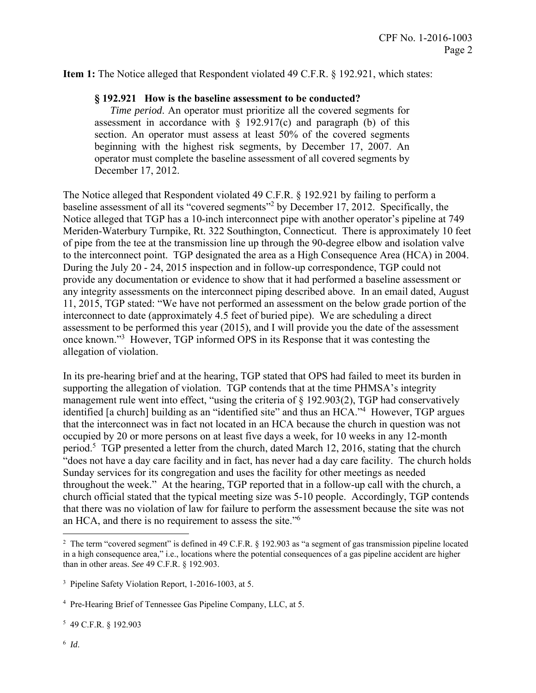**Item 1:** The Notice alleged that Respondent violated 49 C.F.R. § 192.921, which states:

#### **§ 192.921 How is the baseline assessment to be conducted?**

*Time period*. An operator must prioritize all the covered segments for assessment in accordance with  $\S$  192.917(c) and paragraph (b) of this section. An operator must assess at least 50% of the covered segments beginning with the highest risk segments, by December 17, 2007. An operator must complete the baseline assessment of all covered segments by December 17, 2012.

The Notice alleged that Respondent violated 49 C.F.R. § 192.921 by failing to perform a baseline assessment of all its "covered segments"<sup>2</sup> by December 17, 2012. Specifically, the Notice alleged that TGP has a 10-inch interconnect pipe with another operator's pipeline at 749 Meriden-Waterbury Turnpike, Rt. 322 Southington, Connecticut. There is approximately 10 feet of pipe from the tee at the transmission line up through the 90-degree elbow and isolation valve to the interconnect point. TGP designated the area as a High Consequence Area (HCA) in 2004. During the July 20 - 24, 2015 inspection and in follow-up correspondence, TGP could not provide any documentation or evidence to show that it had performed a baseline assessment or any integrity assessments on the interconnect piping described above. In an email dated, August 11, 2015, TGP stated: "We have not performed an assessment on the below grade portion of the interconnect to date (approximately 4.5 feet of buried pipe). We are scheduling a direct assessment to be performed this year (2015), and I will provide you the date of the assessment once known."<sup>3</sup> However, TGP informed OPS in its Response that it was contesting the allegation of violation.

an HCA, and there is no requirement to assess the site."<sup>6</sup> In its pre-hearing brief and at the hearing, TGP stated that OPS had failed to meet its burden in supporting the allegation of violation. TGP contends that at the time PHMSA's integrity management rule went into effect, "using the criteria of § 192.903(2), TGP had conservatively identified [a church] building as an "identified site" and thus an HCA."4 However, TGP argues that the interconnect was in fact not located in an HCA because the church in question was not occupied by 20 or more persons on at least five days a week, for 10 weeks in any 12-month period.<sup>5</sup> TGP presented a letter from the church, dated March 12, 2016, stating that the church "does not have a day care facility and in fact, has never had a day care facility. The church holds Sunday services for its congregation and uses the facility for other meetings as needed throughout the week." At the hearing, TGP reported that in a follow-up call with the church, a church official stated that the typical meeting size was 5-10 people. Accordingly, TGP contends that there was no violation of law for failure to perform the assessment because the site was not

5 49 C.F.R. § 192.903

 $\overline{a}$ 

<sup>&</sup>lt;sup>2</sup> The term "covered segment" is defined in 49 C.F.R. § 192.903 as "a segment of gas transmission pipeline located in a high consequence area," i.e., locations where the potential consequences of a gas pipeline accident are higher than in other areas. *See* 49 C.F.R. § 192.903.

<sup>&</sup>lt;sup>3</sup> Pipeline Safety Violation Report, 1-2016-1003, at 5.

<sup>&</sup>lt;sup>4</sup> Pre-Hearing Brief of Tennessee Gas Pipeline Company, LLC, at 5.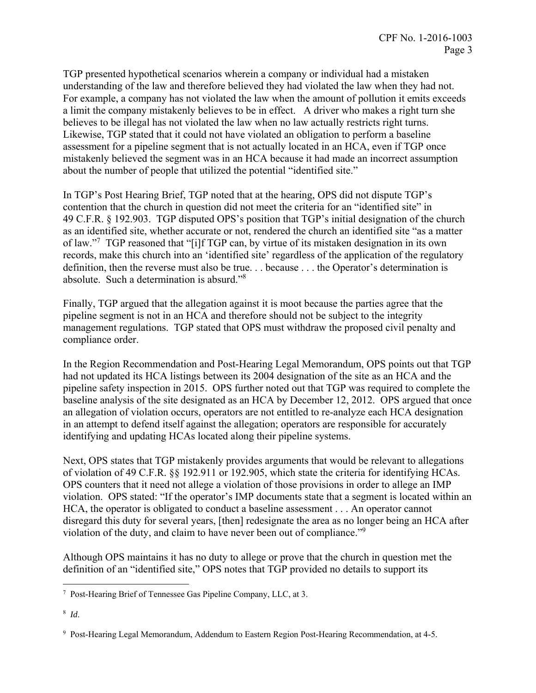TGP presented hypothetical scenarios wherein a company or individual had a mistaken understanding of the law and therefore believed they had violated the law when they had not. For example, a company has not violated the law when the amount of pollution it emits exceeds a limit the company mistakenly believes to be in effect. A driver who makes a right turn she believes to be illegal has not violated the law when no law actually restricts right turns. Likewise, TGP stated that it could not have violated an obligation to perform a baseline assessment for a pipeline segment that is not actually located in an HCA, even if TGP once mistakenly believed the segment was in an HCA because it had made an incorrect assumption about the number of people that utilized the potential "identified site."

In TGP's Post Hearing Brief, TGP noted that at the hearing, OPS did not dispute TGP's contention that the church in question did not meet the criteria for an "identified site" in 49 C.F.R. § 192.903. TGP disputed OPS's position that TGP's initial designation of the church as an identified site, whether accurate or not, rendered the church an identified site "as a matter of law."<sup>7</sup> TGP reasoned that "[i]f TGP can, by virtue of its mistaken designation in its own records, make this church into an 'identified site' regardless of the application of the regulatory definition, then the reverse must also be true. . . because . . . the Operator's determination is absolute. Such a determination is absurd."8

Finally, TGP argued that the allegation against it is moot because the parties agree that the pipeline segment is not in an HCA and therefore should not be subject to the integrity management regulations. TGP stated that OPS must withdraw the proposed civil penalty and compliance order.

In the Region Recommendation and Post-Hearing Legal Memorandum, OPS points out that TGP had not updated its HCA listings between its 2004 designation of the site as an HCA and the pipeline safety inspection in 2015. OPS further noted out that TGP was required to complete the baseline analysis of the site designated as an HCA by December 12, 2012. OPS argued that once an allegation of violation occurs, operators are not entitled to re-analyze each HCA designation in an attempt to defend itself against the allegation; operators are responsible for accurately identifying and updating HCAs located along their pipeline systems.

Next, OPS states that TGP mistakenly provides arguments that would be relevant to allegations of violation of 49 C.F.R. §§ 192.911 or 192.905, which state the criteria for identifying HCAs. OPS counters that it need not allege a violation of those provisions in order to allege an IMP violation. OPS stated: "If the operator's IMP documents state that a segment is located within an HCA, the operator is obligated to conduct a baseline assessment . . . An operator cannot disregard this duty for several years, [then] redesignate the area as no longer being an HCA after violation of the duty, and claim to have never been out of compliance."9

Although OPS maintains it has no duty to allege or prove that the church in question met the definition of an "identified site," OPS notes that TGP provided no details to support its

 7 Post-Hearing Brief of Tennessee Gas Pipeline Company, LLC, at 3.

 <sup>8</sup> *Id*.

 9 Post-Hearing Legal Memorandum, Addendum to Eastern Region Post-Hearing Recommendation, at 4-5.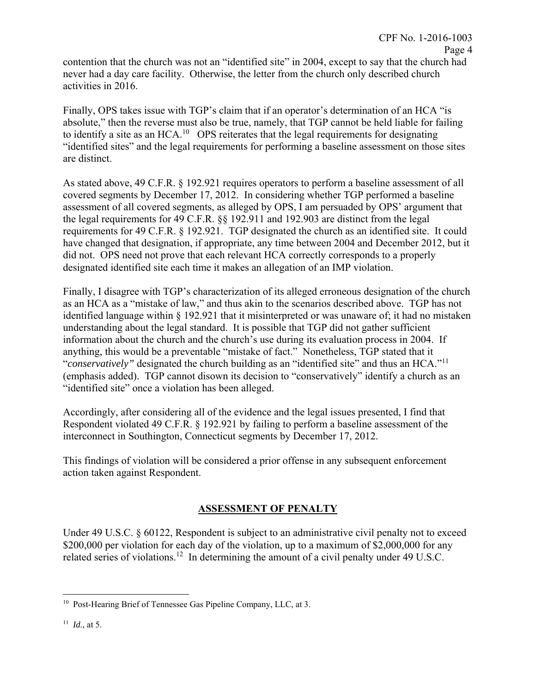contention that the church was not an "identified site" in 2004, except to say that the church had never had a day care facility. Otherwise, the letter from the church only described church activities in 2016.

Finally, OPS takes issue with TGP's claim that if an operator's determination of an HCA "is absolute," then the reverse must also be true, namely, that TGP cannot be held liable for failing to identify a site as an HCA.<sup>10</sup> OPS reiterates that the legal requirements for designating "identified sites" and the legal requirements for performing a baseline assessment on those sites are distinct.

As stated above, 49 C.F.R. § 192.921 requires operators to perform a baseline assessment of all covered segments by December 17, 2012. In considering whether TGP performed a baseline assessment of all covered segments, as alleged by OPS, I am persuaded by OPS' argument that the legal requirements for 49 C.F.R. §§ 192.911 and 192.903 are distinct from the legal requirements for 49 C.F.R. § 192.921. TGP designated the church as an identified site. It could have changed that designation, if appropriate, any time between 2004 and December 2012, but it did not. OPS need not prove that each relevant HCA correctly corresponds to a properly designated identified site each time it makes an allegation of an IMP violation.

Finally, I disagree with TGP's characterization of its alleged erroneous designation of the church as an HCA as a "mistake of law," and thus akin to the scenarios described above. TGP has not identified language within § 192.921 that it misinterpreted or was unaware of; it had no mistaken understanding about the legal standard. It is possible that TGP did not gather sufficient information about the church and the church's use during its evaluation process in 2004. If anything, this would be a preventable "mistake of fact." Nonetheless, TGP stated that it "*conservatively"* designated the church building as an "identified site" and thus an HCA."<sup>11</sup> (emphasis added). TGP cannot disown its decision to "conservatively" identify a church as an "identified site" once a violation has been alleged.

Accordingly, after considering all of the evidence and the legal issues presented, I find that Respondent violated 49 C.F.R. § 192.921 by failing to perform a baseline assessment of the interconnect in Southington, Connecticut segments by December 17, 2012.

This findings of violation will be considered a prior offense in any subsequent enforcement action taken against Respondent.

# **ASSESSMENT OF PENALTY**

Under 49 U.S.C. § 60122, Respondent is subject to an administrative civil penalty not to exceed \$200,000 per violation for each day of the violation, up to a maximum of \$2,000,000 for any related series of violations.<sup>12</sup> In determining the amount of a civil penalty under 49 U.S.C.

 $\overline{a}$ <sup>10</sup> Post-Hearing Brief of Tennessee Gas Pipeline Company, LLC, at 3.

 <sup>11</sup> *Id.,* at 5.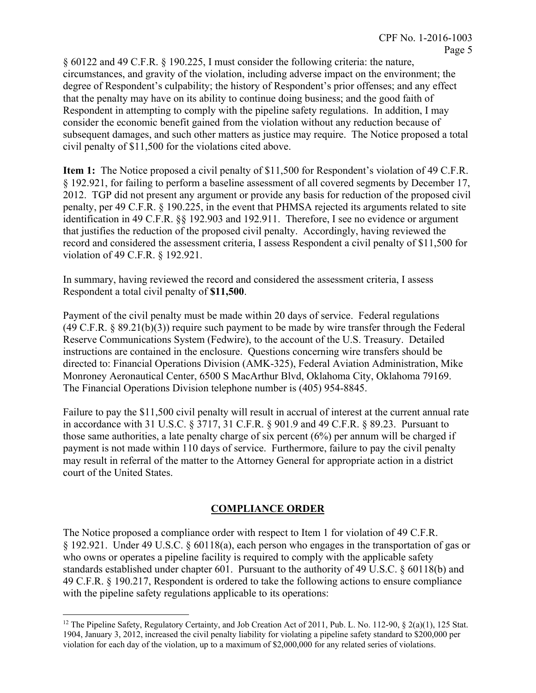§ 60122 and 49 C.F.R. § 190.225, I must consider the following criteria: the nature, circumstances, and gravity of the violation, including adverse impact on the environment; the degree of Respondent's culpability; the history of Respondent's prior offenses; and any effect that the penalty may have on its ability to continue doing business; and the good faith of Respondent in attempting to comply with the pipeline safety regulations. In addition, I may consider the economic benefit gained from the violation without any reduction because of subsequent damages, and such other matters as justice may require. The Notice proposed a total civil penalty of \$11,500 for the violations cited above.

**Item 1:** The Notice proposed a civil penalty of \$11,500 for Respondent's violation of 49 C.F.R. § 192.921, for failing to perform a baseline assessment of all covered segments by December 17, 2012. TGP did not present any argument or provide any basis for reduction of the proposed civil penalty, per 49 C.F.R. § 190.225, in the event that PHMSA rejected its arguments related to site identification in 49 C.F.R. §§ 192.903 and 192.911. Therefore, I see no evidence or argument that justifies the reduction of the proposed civil penalty. Accordingly, having reviewed the record and considered the assessment criteria, I assess Respondent a civil penalty of \$11,500 for violation of 49 C.F.R. § 192.921.

In summary, having reviewed the record and considered the assessment criteria, I assess Respondent a total civil penalty of **\$11,500**.

Payment of the civil penalty must be made within 20 days of service. Federal regulations  $(49 \text{ C.F.R. } § 89.21(b)(3))$  require such payment to be made by wire transfer through the Federal Reserve Communications System (Fedwire), to the account of the U.S. Treasury. Detailed instructions are contained in the enclosure. Questions concerning wire transfers should be directed to: Financial Operations Division (AMK-325), Federal Aviation Administration, Mike Monroney Aeronautical Center, 6500 S MacArthur Blvd, Oklahoma City, Oklahoma 79169. The Financial Operations Division telephone number is (405) 954-8845.

Failure to pay the \$11,500 civil penalty will result in accrual of interest at the current annual rate in accordance with 31 U.S.C. § 3717, 31 C.F.R. § 901.9 and 49 C.F.R. § 89.23. Pursuant to those same authorities, a late penalty charge of six percent (6%) per annum will be charged if payment is not made within 110 days of service. Furthermore, failure to pay the civil penalty may result in referral of the matter to the Attorney General for appropriate action in a district court of the United States.

# **COMPLIANCE ORDER**

The Notice proposed a compliance order with respect to Item 1 for violation of 49 C.F.R. § 192.921. Under 49 U.S.C. § 60118(a), each person who engages in the transportation of gas or who owns or operates a pipeline facility is required to comply with the applicable safety standards established under chapter 601. Pursuant to the authority of 49 U.S.C. § 60118(b) and 49 C.F.R. § 190.217, Respondent is ordered to take the following actions to ensure compliance with the pipeline safety regulations applicable to its operations:

 $\overline{a}$ 

 1904, January 3, 2012, increased the civil penalty liability for violating a pipeline safety standard to \$200,000 per <sup>12</sup> The Pipeline Safety, Regulatory Certainty, and Job Creation Act of 2011, Pub. L. No. 112-90, § 2(a)(1), 125 Stat. violation for each day of the violation, up to a maximum of \$2,000,000 for any related series of violations.